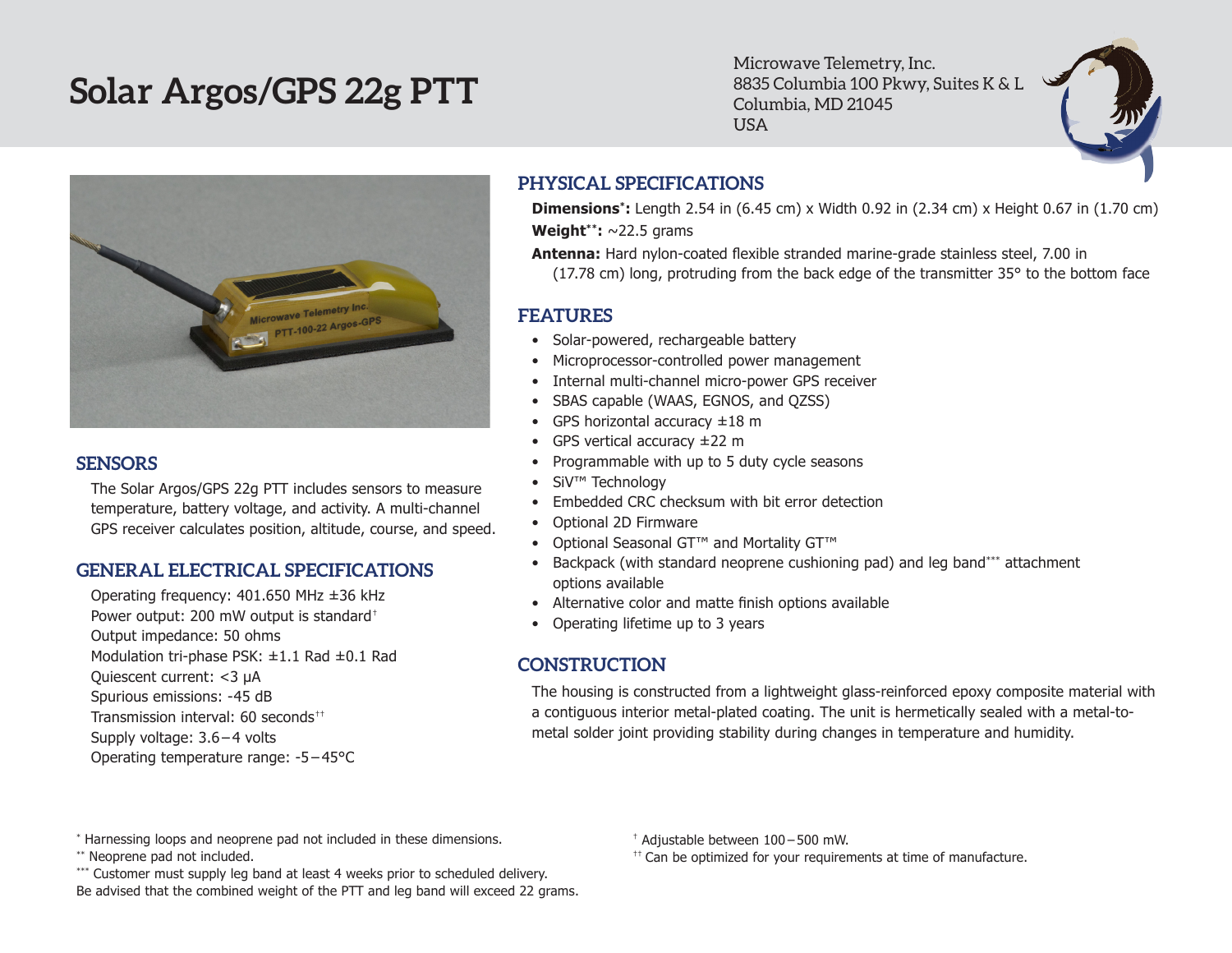# **Solar Argos/GPS 22g PTT**

Microwave Telemetry, Inc. 8835 Columbia 100 Pkwy, Suites K & L Columbia, MD 21045 USA



#### **SENSORS**

The Solar Argos/GPS 22g PTT includes sensors to measure temperature, battery voltage, and activity. A multi-channel GPS receiver calculates position, altitude, course, and speed.

#### **GENERAL ELECTRICAL SPECIFICATIONS**

Operating frequency: 401.650 MHz ±36 kHz Power output: 200 mW output is standard† Output impedance: 50 ohms Modulation tri-phase PSK: ±1.1 Rad ±0.1 Rad Quiescent current: <3 µA Spurious emissions: -45 dB Transmission interval: 60 seconds†† Supply voltage: 3.6 – 4 volts Operating temperature range: -5 – 45°C

## **PHYSICAL SPECIFICATIONS**

**Dimensions\*:** Length 2.54 in (6.45 cm) x Width 0.92 in (2.34 cm) x Height 0.67 in (1.70 cm) **Weight\*\*:** ~22.5 grams

**Antenna:** Hard nylon-coated flexible stranded marine-grade stainless steel, 7.00 in (17.78 cm) long, protruding from the back edge of the transmitter 35° to the bottom face

### **FEATURES**

- Solar-powered, rechargeable battery
- Microprocessor-controlled power management
- Internal multi-channel micro-power GPS receiver
- • SBAS capable (WAAS, EGNOS, and QZSS)
- GPS horizontal accuracy  $\pm 18$  m
- GPS vertical accuracy  $\pm 22$  m
- • Programmable with up to 5 duty cycle seasons
- • SiV™ Technology
- Embedded CRC checksum with bit error detection
- • Optional 2D Firmware
- • Optional Seasonal GT™ and Mortality GT™
- Backpack (with standard neoprene cushioning pad) and leg band\*\*\* attachment options available
- Alternative color and matte finish options available
- Operating lifetime up to 3 years

## **CONSTRUCTION**

The housing is constructed from a lightweight glass-reinforced epoxy composite material with a contiguous interior metal-plated coating. The unit is hermetically sealed with a metal-tometal solder joint providing stability during changes in temperature and humidity.

\* Harnessing loops and neoprene pad not included in these dimensions.

\*\* Neoprene pad not included.

\*\*\* Customer must supply leg band at least 4 weeks prior to scheduled delivery. Be advised that the combined weight of the PTT and leg band will exceed 22 grams. † Adjustable between 100 – 500 mW.

 $<sup>††</sup>$  Can be optimized for your requirements at time of manufacture.</sup>